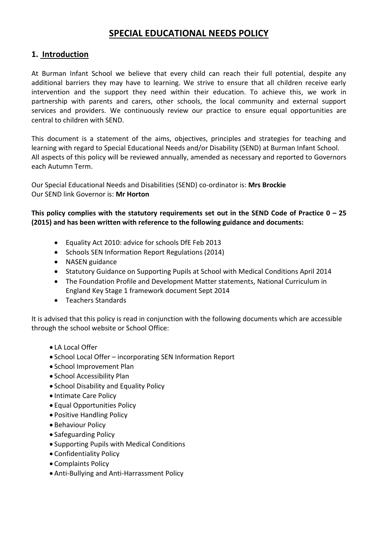# **SPECIAL EDUCATIONAL NEEDS POLICY**

## **1. Introduction**

At Burman Infant School we believe that every child can reach their full potential, despite any additional barriers they may have to learning. We strive to ensure that all children receive early intervention and the support they need within their education. To achieve this, we work in partnership with parents and carers, other schools, the local community and external support services and providers. We continuously review our practice to ensure equal opportunities are central to children with SEND.

This document is a statement of the aims, objectives, principles and strategies for teaching and learning with regard to Special Educational Needs and/or Disability (SEND) at Burman Infant School. All aspects of this policy will be reviewed annually, amended as necessary and reported to Governors each Autumn Term.

Our Special Educational Needs and Disabilities (SEND) co-ordinator is: **Mrs Brockie** Our SEND link Governor is: **Mr Horton**

**This policy complies with the statutory requirements set out in the SEND Code of Practice 0 – 25 (2015) and has been written with reference to the following guidance and documents:** 

- Equality Act 2010: advice for schools DfE Feb 2013
- Schools SEN Information Report Regulations (2014)
- NASEN guidance
- Statutory Guidance on Supporting Pupils at School with Medical Conditions April 2014
- The Foundation Profile and Development Matter statements, National Curriculum in England Key Stage 1 framework document Sept 2014
- Teachers Standards

It is advised that this policy is read in conjunction with the following documents which are accessible through the school website or School Office:

- LA Local Offer
- School Local Offer incorporating SEN Information Report
- School Improvement Plan
- School Accessibility Plan
- School Disability and Equality Policy
- Intimate Care Policy
- Equal Opportunities Policy
- Positive Handling Policy
- **Behaviour Policy**
- Safeguarding Policy
- Supporting Pupils with Medical Conditions
- Confidentiality Policy
- Complaints Policy
- Anti-Bullying and Anti-Harrassment Policy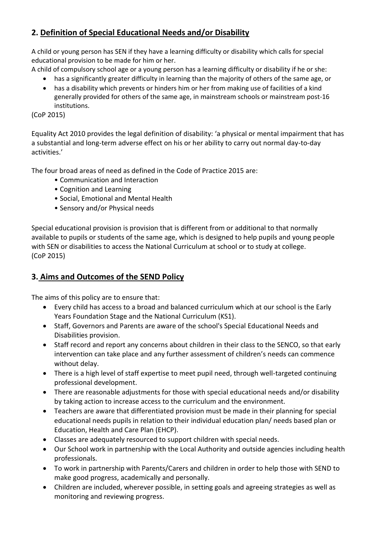# **2. Definition of Special Educational Needs and/or Disability**

A child or young person has SEN if they have a learning difficulty or disability which calls for special educational provision to be made for him or her.

A child of compulsory school age or a young person has a learning difficulty or disability if he or she:

- has a significantly greater difficulty in learning than the majority of others of the same age, or
- has a disability which prevents or hinders him or her from making use of facilities of a kind generally provided for others of the same age, in mainstream schools or mainstream post-16 institutions.

(CoP 2015)

Equality Act 2010 provides the legal definition of disability: 'a physical or mental impairment that has a substantial and long-term adverse effect on his or her ability to carry out normal day-to-day activities.'

The four broad areas of need as defined in the Code of Practice 2015 are:

- Communication and Interaction
- Cognition and Learning
- Social, Emotional and Mental Health
- Sensory and/or Physical needs

Special educational provision is provision that is different from or additional to that normally available to pupils or students of the same age, which is designed to help pupils and young people with SEN or disabilities to access the National Curriculum at school or to study at college. (CoP 2015)

# **3. Aims and Outcomes of the SEND Policy**

The aims of this policy are to ensure that:

- Every child has access to a broad and balanced curriculum which at our school is the Early Years Foundation Stage and the National Curriculum (KS1).
- Staff, Governors and Parents are aware of the school's Special Educational Needs and Disabilities provision.
- Staff record and report any concerns about children in their class to the SENCO, so that early intervention can take place and any further assessment of children's needs can commence without delay.
- There is a high level of staff expertise to meet pupil need, through well-targeted continuing professional development.
- There are reasonable adjustments for those with special educational needs and/or disability by taking action to increase access to the curriculum and the environment.
- Teachers are aware that differentiated provision must be made in their planning for special educational needs pupils in relation to their individual education plan/ needs based plan or Education, Health and Care Plan (EHCP).
- Classes are adequately resourced to support children with special needs.
- Our School work in partnership with the Local Authority and outside agencies including health professionals.
- To work in partnership with Parents/Carers and children in order to help those with SEND to make good progress, academically and personally.
- Children are included, wherever possible, in setting goals and agreeing strategies as well as monitoring and reviewing progress.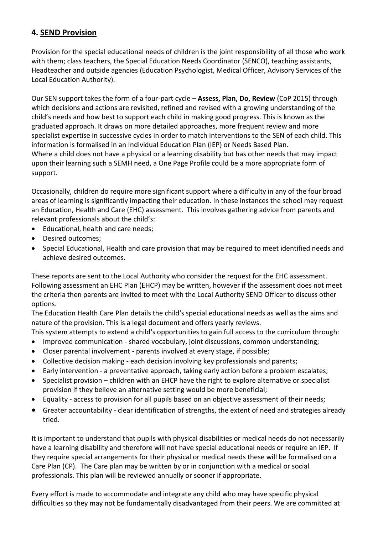# **4. SEND Provision**

Provision for the special educational needs of children is the joint responsibility of all those who work with them; class teachers, the Special Education Needs Coordinator (SENCO), teaching assistants, Headteacher and outside agencies (Education Psychologist, Medical Officer, Advisory Services of the Local Education Authority).

Our SEN support takes the form of a four-part cycle – **Assess, Plan, Do, Review** (CoP 2015) through which decisions and actions are revisited, refined and revised with a growing understanding of the child's needs and how best to support each child in making good progress. This is known as the graduated approach. It draws on more detailed approaches, more frequent review and more specialist expertise in successive cycles in order to match interventions to the SEN of each child. This information is formalised in an Individual Education Plan (IEP) or Needs Based Plan. Where a child does not have a physical or a learning disability but has other needs that may impact upon their learning such a SEMH need, a One Page Profile could be a more appropriate form of support.

Occasionally, children do require more significant support where a difficulty in any of the four broad areas of learning is significantly impacting their education. In these instances the school may request an Education, Health and Care (EHC) assessment. This involves gathering advice from parents and relevant professionals about the child's:

- Educational, health and care needs:
- Desired outcomes;
- Special Educational, Health and care provision that may be required to meet identified needs and achieve desired outcomes.

These reports are sent to the Local Authority who consider the request for the EHC assessment. Following assessment an EHC Plan (EHCP) may be written, however if the assessment does not meet the criteria then parents are invited to meet with the Local Authority SEND Officer to discuss other options.

The Education Health Care Plan details the child's special educational needs as well as the aims and nature of the provision. This is a legal document and offers yearly reviews.

- This system attempts to extend a child's opportunities to gain full access to the curriculum through:
- Improved communication shared vocabulary, joint discussions, common understanding;
- Closer parental involvement parents involved at every stage, if possible;
- Collective decision making each decision involving key professionals and parents;
- Early intervention a preventative approach, taking early action before a problem escalates;
- Specialist provision children with an EHCP have the right to explore alternative or specialist provision if they believe an alternative setting would be more beneficial;
- Equality access to provision for all pupils based on an objective assessment of their needs;
- Greater accountability clear identification of strengths, the extent of need and strategies already tried.

It is important to understand that pupils with physical disabilities or medical needs do not necessarily have a learning disability and therefore will not have special educational needs or require an IEP. If they require special arrangements for their physical or medical needs these will be formalised on a Care Plan (CP). The Care plan may be written by or in conjunction with a medical or social professionals. This plan will be reviewed annually or sooner if appropriate.

Every effort is made to accommodate and integrate any child who may have specific physical difficulties so they may not be fundamentally disadvantaged from their peers. We are committed at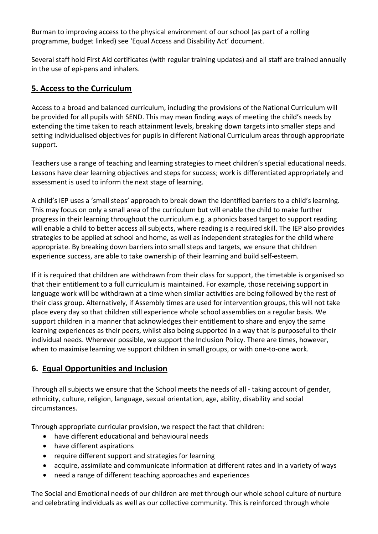Burman to improving access to the physical environment of our school (as part of a rolling programme, budget linked) see 'Equal Access and Disability Act' document.

Several staff hold First Aid certificates (with regular training updates) and all staff are trained annually in the use of epi-pens and inhalers.

# **5. Access to the Curriculum**

Access to a broad and balanced curriculum, including the provisions of the National Curriculum will be provided for all pupils with SEND. This may mean finding ways of meeting the child's needs by extending the time taken to reach attainment levels, breaking down targets into smaller steps and setting individualised objectives for pupils in different National Curriculum areas through appropriate support.

Teachers use a range of teaching and learning strategies to meet children's special educational needs. Lessons have clear learning objectives and steps for success; work is differentiated appropriately and assessment is used to inform the next stage of learning.

A child's IEP uses a 'small steps' approach to break down the identified barriers to a child's learning. This may focus on only a small area of the curriculum but will enable the child to make further progress in their learning throughout the curriculum e.g. a phonics based target to support reading will enable a child to better access all subjects, where reading is a required skill. The IEP also provides strategies to be applied at school and home, as well as independent strategies for the child where appropriate. By breaking down barriers into small steps and targets, we ensure that children experience success, are able to take ownership of their learning and build self-esteem.

If it is required that children are withdrawn from their class for support, the timetable is organised so that their entitlement to a full curriculum is maintained. For example, those receiving support in language work will be withdrawn at a time when similar activities are being followed by the rest of their class group. Alternatively, if Assembly times are used for intervention groups, this will not take place every day so that children still experience whole school assemblies on a regular basis. We support children in a manner that acknowledges their entitlement to share and enjoy the same learning experiences as their peers, whilst also being supported in a way that is purposeful to their individual needs. Wherever possible, we support the Inclusion Policy. There are times, however, when to maximise learning we support children in small groups, or with one-to-one work.

# **6. Equal Opportunities and Inclusion**

Through all subjects we ensure that the School meets the needs of all - taking account of gender, ethnicity, culture, religion, language, sexual orientation, age, ability, disability and social circumstances.

Through appropriate curricular provision, we respect the fact that children:

- have different educational and behavioural needs
- have different aspirations
- require different support and strategies for learning
- acquire, assimilate and communicate information at different rates and in a variety of ways
- need a range of different teaching approaches and experiences

The Social and Emotional needs of our children are met through our whole school culture of nurture and celebrating individuals as well as our collective community. This is reinforced through whole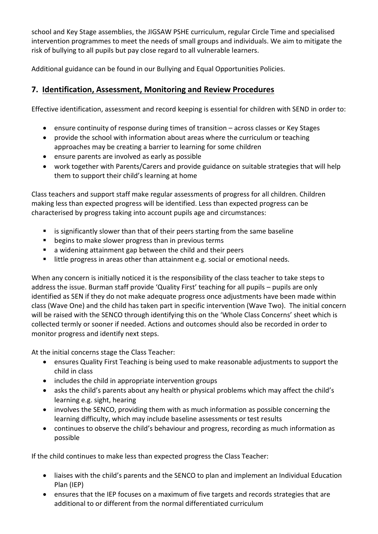school and Key Stage assemblies, the JIGSAW PSHE curriculum, regular Circle Time and specialised intervention programmes to meet the needs of small groups and individuals. We aim to mitigate the risk of bullying to all pupils but pay close regard to all vulnerable learners.

Additional guidance can be found in our Bullying and Equal Opportunities Policies.

# **7. Identification, Assessment, Monitoring and Review Procedures**

Effective identification, assessment and record keeping is essential for children with SEND in order to:

- ensure continuity of response during times of transition across classes or Key Stages
- provide the school with information about areas where the curriculum or teaching approaches may be creating a barrier to learning for some children
- ensure parents are involved as early as possible
- work together with Parents/Carers and provide guidance on suitable strategies that will help them to support their child's learning at home

Class teachers and support staff make regular assessments of progress for all children. Children making less than expected progress will be identified. Less than expected progress can be characterised by progress taking into account pupils age and circumstances:

- **EXTE:** is significantly slower than that of their peers starting from the same baseline
- **•** begins to make slower progress than in previous terms
- a widening attainment gap between the child and their peers
- **If the progress in areas other than attainment e.g. social or emotional needs.**

When any concern is initially noticed it is the responsibility of the class teacher to take steps to address the issue. Burman staff provide 'Quality First' teaching for all pupils – pupils are only identified as SEN if they do not make adequate progress once adjustments have been made within class (Wave One) and the child has taken part in specific intervention (Wave Two). The initial concern will be raised with the SENCO through identifying this on the 'Whole Class Concerns' sheet which is collected termly or sooner if needed. Actions and outcomes should also be recorded in order to monitor progress and identify next steps.

At the initial concerns stage the Class Teacher:

- ensures Quality First Teaching is being used to make reasonable adjustments to support the child in class
- includes the child in appropriate intervention groups
- asks the child's parents about any health or physical problems which may affect the child's learning e.g. sight, hearing
- involves the SENCO, providing them with as much information as possible concerning the learning difficulty, which may include baseline assessments or test results
- continues to observe the child's behaviour and progress, recording as much information as possible

If the child continues to make less than expected progress the Class Teacher:

- liaises with the child's parents and the SENCO to plan and implement an Individual Education Plan (IEP)
- ensures that the IEP focuses on a maximum of five targets and records strategies that are additional to or different from the normal differentiated curriculum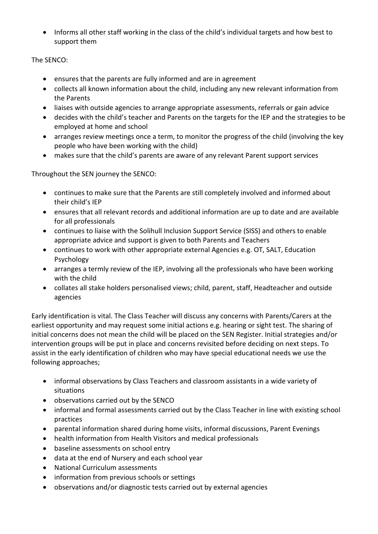• Informs all other staff working in the class of the child's individual targets and how best to support them

The SENCO:

- ensures that the parents are fully informed and are in agreement
- collects all known information about the child, including any new relevant information from the Parents
- liaises with outside agencies to arrange appropriate assessments, referrals or gain advice
- decides with the child's teacher and Parents on the targets for the IEP and the strategies to be employed at home and school
- arranges review meetings once a term, to monitor the progress of the child (involving the key people who have been working with the child)
- makes sure that the child's parents are aware of any relevant Parent support services

Throughout the SEN journey the SENCO:

- continues to make sure that the Parents are still completely involved and informed about their child's IEP
- ensures that all relevant records and additional information are up to date and are available for all professionals
- continues to liaise with the Solihull Inclusion Support Service (SISS) and others to enable appropriate advice and support is given to both Parents and Teachers
- continues to work with other appropriate external Agencies e.g. OT, SALT, Education Psychology
- arranges a termly review of the IEP, involving all the professionals who have been working with the child
- collates all stake holders personalised views; child, parent, staff, Headteacher and outside agencies

Early identification is vital. The Class Teacher will discuss any concerns with Parents/Carers at the earliest opportunity and may request some initial actions e.g. hearing or sight test. The sharing of initial concerns does not mean the child will be placed on the SEN Register. Initial strategies and/or intervention groups will be put in place and concerns revisited before deciding on next steps. To assist in the early identification of children who may have special educational needs we use the following approaches;

- informal observations by Class Teachers and classroom assistants in a wide variety of situations
- observations carried out by the SENCO
- informal and formal assessments carried out by the Class Teacher in line with existing school practices
- parental information shared during home visits, informal discussions, Parent Evenings
- health information from Health Visitors and medical professionals
- baseline assessments on school entry
- data at the end of Nursery and each school year
- National Curriculum assessments
- information from previous schools or settings
- observations and/or diagnostic tests carried out by external agencies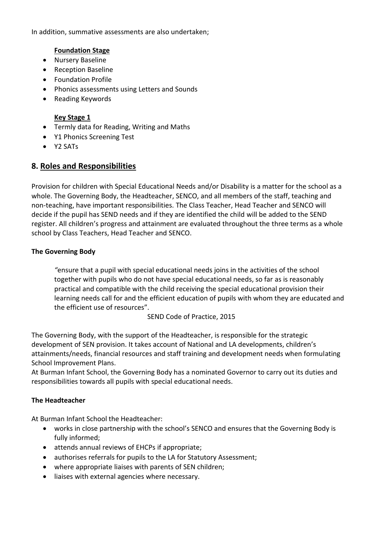In addition, summative assessments are also undertaken;

### **Foundation Stage**

- Nursery Baseline
- Reception Baseline
- Foundation Profile
- Phonics assessments using Letters and Sounds
- Reading Keywords

### **Key Stage 1**

- Termly data for Reading, Writing and Maths
- Y1 Phonics Screening Test
- Y2 SATs

# **8. Roles and Responsibilities**

Provision for children with Special Educational Needs and/or Disability is a matter for the school as a whole. The Governing Body, the Headteacher, SENCO, and all members of the staff, teaching and non-teaching, have important responsibilities. The Class Teacher, Head Teacher and SENCO will decide if the pupil has SEND needs and if they are identified the child will be added to the SEND register. All children's progress and attainment are evaluated throughout the three terms as a whole school by Class Teachers, Head Teacher and SENCO.

### **The Governing Body**

*"*ensure that a pupil with special educational needs joins in the activities of the school together with pupils who do not have special educational needs, so far as is reasonably practical and compatible with the child receiving the special educational provision their learning needs call for and the efficient education of pupils with whom they are educated and the efficient use of resources".

SEND Code of Practice, 2015

The Governing Body, with the support of the Headteacher, is responsible for the strategic development of SEN provision. It takes account of National and LA developments, children's attainments/needs, financial resources and staff training and development needs when formulating School Improvement Plans.

At Burman Infant School, the Governing Body has a nominated Governor to carry out its duties and responsibilities towards all pupils with special educational needs.

### **The Headteacher**

At Burman Infant School the Headteacher:

- works in close partnership with the school's SENCO and ensures that the Governing Body is fully informed;
- attends annual reviews of EHCPs if appropriate;
- authorises referrals for pupils to the LA for Statutory Assessment;
- where appropriate liaises with parents of SEN children;
- liaises with external agencies where necessary.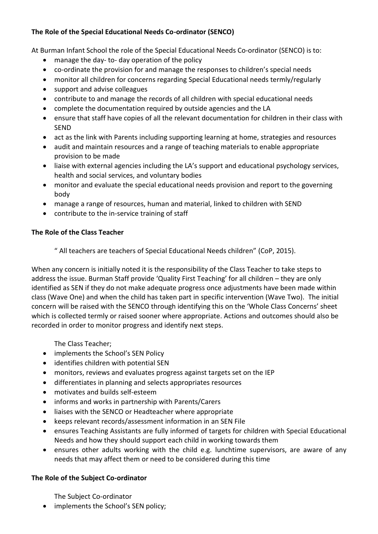## **The Role of the Special Educational Needs Co-ordinator (SENCO)**

At Burman Infant School the role of the Special Educational Needs Co-ordinator (SENCO) is to:

- manage the day- to- day operation of the policy
- co-ordinate the provision for and manage the responses to children's special needs
- monitor all children for concerns regarding Special Educational needs termly/regularly
- support and advise colleagues
- contribute to and manage the records of all children with special educational needs
- complete the documentation required by outside agencies and the LA
- ensure that staff have copies of all the relevant documentation for children in their class with SEND
- act as the link with Parents including supporting learning at home, strategies and resources
- audit and maintain resources and a range of teaching materials to enable appropriate provision to be made
- liaise with external agencies including the LA's support and educational psychology services, health and social services, and voluntary bodies
- monitor and evaluate the special educational needs provision and report to the governing body
- manage a range of resources, human and material, linked to children with SEND
- contribute to the in-service training of staff

## **The Role of the Class Teacher**

" All teachers are teachers of Special Educational Needs children" (CoP, 2015).

When any concern is initially noted it is the responsibility of the Class Teacher to take steps to address the issue. Burman Staff provide 'Quality First Teaching' for all children – they are only identified as SEN if they do not make adequate progress once adjustments have been made within class (Wave One) and when the child has taken part in specific intervention (Wave Two). The initial concern will be raised with the SENCO through identifying this on the 'Whole Class Concerns' sheet which is collected termly or raised sooner where appropriate. Actions and outcomes should also be recorded in order to monitor progress and identify next steps.

The Class Teacher;

- implements the School's SEN Policy
- identifies children with potential SEN
- monitors, reviews and evaluates progress against targets set on the IEP
- differentiates in planning and selects appropriates resources
- motivates and builds self-esteem
- informs and works in partnership with Parents/Carers
- liaises with the SENCO or Headteacher where appropriate
- keeps relevant records/assessment information in an SEN File
- ensures Teaching Assistants are fully informed of targets for children with Special Educational Needs and how they should support each child in working towards them
- ensures other adults working with the child e.g. lunchtime supervisors, are aware of any needs that may affect them or need to be considered during this time

## **The Role of the Subject Co-ordinator**

The Subject Co-ordinator

• implements the School's SEN policy;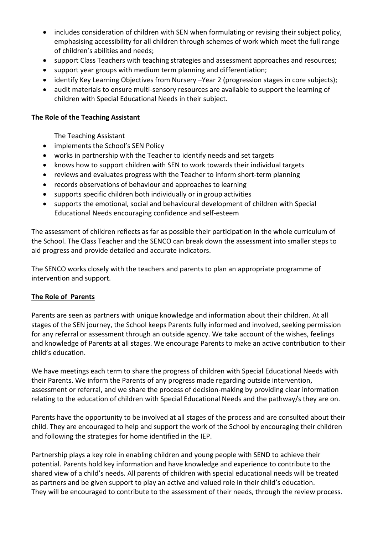- includes consideration of children with SEN when formulating or revising their subject policy, emphasising accessibility for all children through schemes of work which meet the full range of children's abilities and needs;
- support Class Teachers with teaching strategies and assessment approaches and resources;
- support year groups with medium term planning and differentiation;
- identify Key Learning Objectives from Nursery –Year 2 (progression stages in core subjects);
- audit materials to ensure multi-sensory resources are available to support the learning of children with Special Educational Needs in their subject.

#### **The Role of the Teaching Assistant**

The Teaching Assistant

- implements the School's SEN Policy
- works in partnership with the Teacher to identify needs and set targets
- knows how to support children with SEN to work towards their individual targets
- reviews and evaluates progress with the Teacher to inform short-term planning
- records observations of behaviour and approaches to learning
- supports specific children both individually or in group activities
- supports the emotional, social and behavioural development of children with Special Educational Needs encouraging confidence and self-esteem

The assessment of children reflects as far as possible their participation in the whole curriculum of the School. The Class Teacher and the SENCO can break down the assessment into smaller steps to aid progress and provide detailed and accurate indicators.

The SENCO works closely with the teachers and parents to plan an appropriate programme of intervention and support.

### **The Role of Parents**

Parents are seen as partners with unique knowledge and information about their children. At all stages of the SEN journey, the School keeps Parents fully informed and involved, seeking permission for any referral or assessment through an outside agency. We take account of the wishes, feelings and knowledge of Parents at all stages. We encourage Parents to make an active contribution to their child's education.

We have meetings each term to share the progress of children with Special Educational Needs with their Parents. We inform the Parents of any progress made regarding outside intervention, assessment or referral, and we share the process of decision-making by providing clear information relating to the education of children with Special Educational Needs and the pathway/s they are on.

Parents have the opportunity to be involved at all stages of the process and are consulted about their child. They are encouraged to help and support the work of the School by encouraging their children and following the strategies for home identified in the IEP.

Partnership plays a key role in enabling children and young people with SEND to achieve their potential. Parents hold key information and have knowledge and experience to contribute to the shared view of a child's needs. All parents of children with special educational needs will be treated as partners and be given support to play an active and valued role in their child's education. They will be encouraged to contribute to the assessment of their needs, through the review process.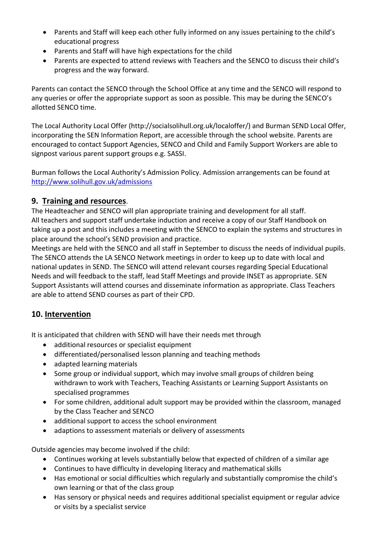- Parents and Staff will keep each other fully informed on any issues pertaining to the child's educational progress
- Parents and Staff will have high expectations for the child
- Parents are expected to attend reviews with Teachers and the SENCO to discuss their child's progress and the way forward.

Parents can contact the SENCO through the School Office at any time and the SENCO will respond to any queries or offer the appropriate support as soon as possible. This may be during the SENCO's allotted SENCO time.

The Local Authority Local Offer (http://socialsolihull.org.uk/localoffer/) and Burman SEND Local Offer, incorporating the SEN Information Report, are accessible through the school website. Parents are encouraged to contact Support Agencies, SENCO and Child and Family Support Workers are able to signpost various parent support groups e.g. SASSI.

Burman follows the Local Authority's Admission Policy. Admission arrangements can be found at <http://www.solihull.gov.uk/admissions>

# **9. Training and resources**.

The Headteacher and SENCO will plan appropriate training and development for all staff. All teachers and support staff undertake induction and receive a copy of our Staff Handbook on taking up a post and this includes a meeting with the SENCO to explain the systems and structures in place around the school's SEND provision and practice.

Meetings are held with the SENCO and all staff in September to discuss the needs of individual pupils. The SENCO attends the LA SENCO Network meetings in order to keep up to date with local and national updates in SEND. The SENCO will attend relevant courses regarding Special Educational Needs and will feedback to the staff, lead Staff Meetings and provide INSET as appropriate. SEN Support Assistants will attend courses and disseminate information as appropriate. Class Teachers are able to attend SEND courses as part of their CPD.

# **10. Intervention**

It is anticipated that children with SEND will have their needs met through

- additional resources or specialist equipment
- differentiated/personalised lesson planning and teaching methods
- adapted learning materials
- Some group or individual support, which may involve small groups of children being withdrawn to work with Teachers, Teaching Assistants or Learning Support Assistants on specialised programmes
- For some children, additional adult support may be provided within the classroom, managed by the Class Teacher and SENCO
- additional support to access the school environment
- adaptions to assessment materials or delivery of assessments

Outside agencies may become involved if the child:

- Continues working at levels substantially below that expected of children of a similar age
- Continues to have difficulty in developing literacy and mathematical skills
- Has emotional or social difficulties which regularly and substantially compromise the child's own learning or that of the class group
- Has sensory or physical needs and requires additional specialist equipment or regular advice or visits by a specialist service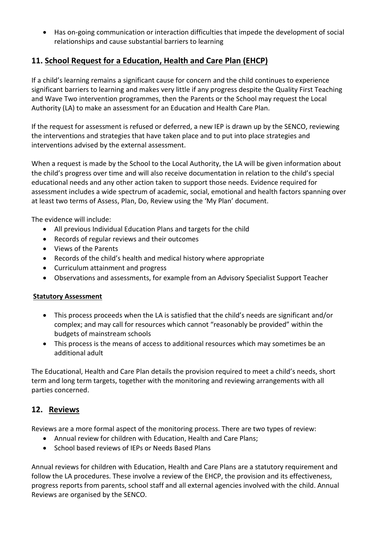Has on-going communication or interaction difficulties that impede the development of social relationships and cause substantial barriers to learning

# **11. School Request for a Education, Health and Care Plan (EHCP)**

If a child's learning remains a significant cause for concern and the child continues to experience significant barriers to learning and makes very little if any progress despite the Quality First Teaching and Wave Two intervention programmes, then the Parents or the School may request the Local Authority (LA) to make an assessment for an Education and Health Care Plan.

If the request for assessment is refused or deferred, a new IEP is drawn up by the SENCO, reviewing the interventions and strategies that have taken place and to put into place strategies and interventions advised by the external assessment.

When a request is made by the School to the Local Authority, the LA will be given information about the child's progress over time and will also receive documentation in relation to the child's special educational needs and any other action taken to support those needs. Evidence required for assessment includes a wide spectrum of academic, social, emotional and health factors spanning over at least two terms of Assess, Plan, Do, Review using the 'My Plan' document.

The evidence will include:

- All previous Individual Education Plans and targets for the child
- Records of regular reviews and their outcomes
- Views of the Parents
- Records of the child's health and medical history where appropriate
- Curriculum attainment and progress
- Observations and assessments, for example from an Advisory Specialist Support Teacher

### **Statutory Assessment**

- This process proceeds when the LA is satisfied that the child's needs are significant and/or complex; and may call for resources which cannot "reasonably be provided" within the budgets of mainstream schools
- This process is the means of access to additional resources which may sometimes be an additional adult

The Educational, Health and Care Plan details the provision required to meet a child's needs, short term and long term targets, together with the monitoring and reviewing arrangements with all parties concerned.

## **12. Reviews**

Reviews are a more formal aspect of the monitoring process. There are two types of review:

- Annual review for children with Education, Health and Care Plans;
- School based reviews of IEPs or Needs Based Plans

Annual reviews for children with Education, Health and Care Plans are a statutory requirement and follow the LA procedures. These involve a review of the EHCP, the provision and its effectiveness, progress reports from parents, school staff and all external agencies involved with the child. Annual Reviews are organised by the SENCO.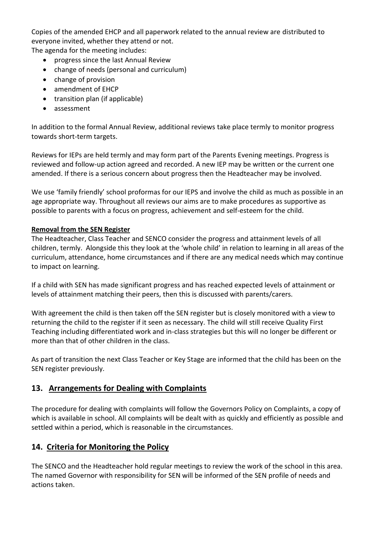Copies of the amended EHCP and all paperwork related to the annual review are distributed to everyone invited, whether they attend or not.

The agenda for the meeting includes:

- progress since the last Annual Review
- change of needs (personal and curriculum)
- change of provision
- amendment of EHCP
- transition plan (if applicable)
- assessment

In addition to the formal Annual Review, additional reviews take place termly to monitor progress towards short-term targets.

Reviews for IEPs are held termly and may form part of the Parents Evening meetings. Progress is reviewed and follow-up action agreed and recorded. A new IEP may be written or the current one amended. If there is a serious concern about progress then the Headteacher may be involved.

We use 'family friendly' school proformas for our IEPS and involve the child as much as possible in an age appropriate way. Throughout all reviews our aims are to make procedures as supportive as possible to parents with a focus on progress, achievement and self-esteem for the child.

## **Removal from the SEN Register**

The Headteacher, Class Teacher and SENCO consider the progress and attainment levels of all children, termly. Alongside this they look at the 'whole child' in relation to learning in all areas of the curriculum, attendance, home circumstances and if there are any medical needs which may continue to impact on learning.

If a child with SEN has made significant progress and has reached expected levels of attainment or levels of attainment matching their peers, then this is discussed with parents/carers.

With agreement the child is then taken off the SEN register but is closely monitored with a view to returning the child to the register if it seen as necessary. The child will still receive Quality First Teaching including differentiated work and in-class strategies but this will no longer be different or more than that of other children in the class.

As part of transition the next Class Teacher or Key Stage are informed that the child has been on the SEN register previously.

# **13. Arrangements for Dealing with Complaints**

The procedure for dealing with complaints will follow the Governors Policy on Complaints, a copy of which is available in school. All complaints will be dealt with as quickly and efficiently as possible and settled within a period, which is reasonable in the circumstances.

# **14. Criteria for Monitoring the Policy**

The SENCO and the Headteacher hold regular meetings to review the work of the school in this area. The named Governor with responsibility for SEN will be informed of the SEN profile of needs and actions taken.